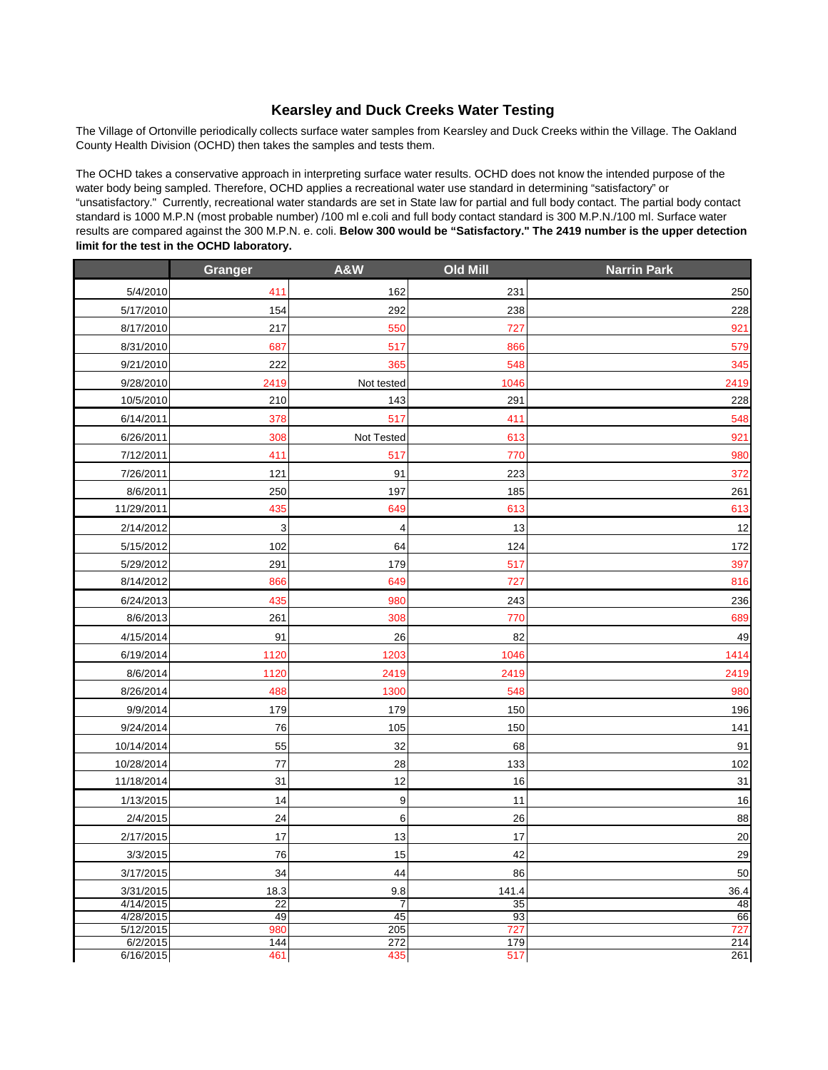## **Kearsley and Duck Creeks Water Testing**

The Village of Ortonville periodically collects surface water samples from Kearsley and Duck Creeks within the Village. The Oakland County Health Division (OCHD) then takes the samples and tests them.

The OCHD takes a conservative approach in interpreting surface water results. OCHD does not know the intended purpose of the water body being sampled. Therefore, OCHD applies a recreational water use standard in determining "satisfactory" or "unsatisfactory." Currently, recreational water standards are set in State law for partial and full body contact. The partial body contact standard is 1000 M.P.N (most probable number) /100 ml e.coli and full body contact standard is 300 M.P.N./100 ml. Surface water results are compared against the 300 M.P.N. e. coli. **Below 300 would be "Satisfactory." The 2419 number is the upper detection limit for the test in the OCHD laboratory.**

|                        | Granger  | <b>A&amp;W</b>       | <b>Old Mill</b> | <b>Narrin Park</b> |
|------------------------|----------|----------------------|-----------------|--------------------|
| 5/4/2010               | 411      | 162                  | 231             | 250                |
| 5/17/2010              | 154      | 292                  | 238             | 228                |
| 8/17/2010              | 217      | 550                  | 727             | 921                |
| 8/31/2010              | 687      | 517                  | 866             | 579                |
| 9/21/2010              | 222      | 365                  | 548             | 345                |
| 9/28/2010              | 2419     | Not tested           | 1046            | 2419               |
| 10/5/2010              | 210      | 143                  | 291             | 228                |
| 6/14/2011              | 378      | 517                  | 411             | 548                |
| 6/26/2011              | 308      | Not Tested           | 613             | 921                |
| 7/12/2011              | 411      | 517                  | 770             | 980                |
| 7/26/2011              | 121      | 91                   | 223             | 372                |
| 8/6/2011               | 250      | 197                  | 185             | 261                |
| 11/29/2011             | 435      | 649                  | 613             | 613                |
| 2/14/2012              | 3        | 4                    | 13              | 12                 |
| 5/15/2012              | 102      | 64                   | 124             | 172                |
| 5/29/2012              | 291      | 179                  | 517             | 397                |
| 8/14/2012              | 866      | 649                  | 727             | 816                |
| 6/24/2013              | 435      | 980                  | 243             | 236                |
| 8/6/2013               | 261      | 308                  | 770             | 689                |
| 4/15/2014              | 91       | 26                   | 82              | 49                 |
| 6/19/2014              | 1120     | 1203                 | 1046            | 1414               |
| 8/6/2014               | 1120     | 2419                 | 2419            | 2419               |
| 8/26/2014              | 488      | 1300                 | 548             | 980                |
| 9/9/2014               | 179      | 179                  | 150             | 196                |
| 9/24/2014              | 76       | 105                  | 150             | 141                |
| 10/14/2014             | 55       | 32                   | 68              | 91                 |
| 10/28/2014             | 77       | 28                   | 133             | 102                |
| 11/18/2014             | 31       | 12                   | 16              | 31                 |
| 1/13/2015              | 14       | 9                    | 11              | 16                 |
| 2/4/2015               | 24       | 6                    | 26              | 88                 |
| 2/17/2015              | 17       | 13                   | 17              | 20                 |
| 3/3/2015               | 76       | 15                   | 42              | 29                 |
| 3/17/2015              | 34       | 44                   | 86              | 50                 |
| 3/31/2015              | 18.3     | 9.8                  | 141.4           | 36.4               |
| 4/14/2015<br>4/28/2015 | 22<br>49 | $\overline{7}$<br>45 | 35<br>93        | 48<br>66           |
| 5/12/2015              | 980      | 205                  | 727             | 727                |
| 6/2/2015               | 144      | 272                  | 179             | 214                |
| 6/16/2015              | 461      | 435                  | 517             | 261                |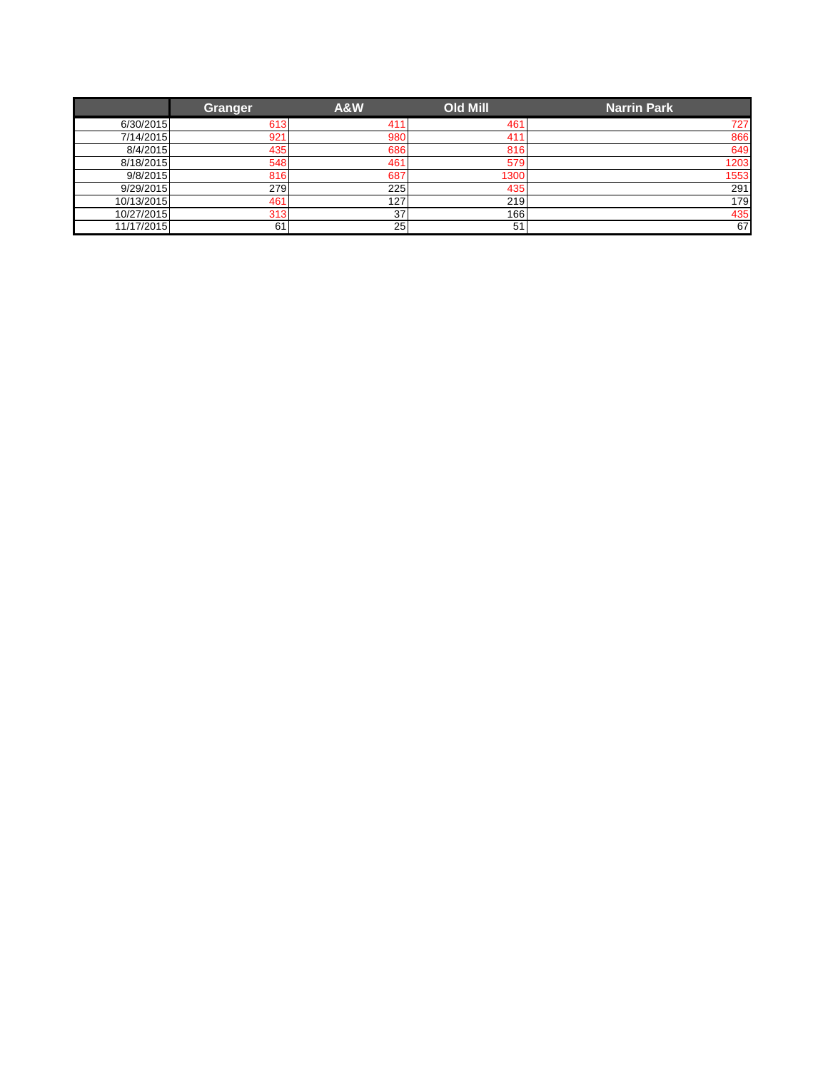|            | Granger | <b>A&amp;W</b> | <b>Old Mill</b> | <b>Narrin Park</b> |
|------------|---------|----------------|-----------------|--------------------|
| 6/30/2015  | 613     | 411            | 461             | 727                |
| 7/14/2015  | 921     | 980            | 41 <sup>°</sup> | 866                |
| 8/4/2015   | 435     | 686            | 816             | 649                |
| 8/18/2015  | 548     | 461            | 579             | 1203               |
| 9/8/2015   | 816     | 687            | 1300            | 1553               |
| 9/29/2015  | 279     | 225            | 435             | 291                |
| 10/13/2015 | 461     | 127            | 219             | 179                |
| 10/27/2015 | 313     | 37             | 1661            | 435                |
| 11/17/2015 | 61      | 25             | 51              | 67                 |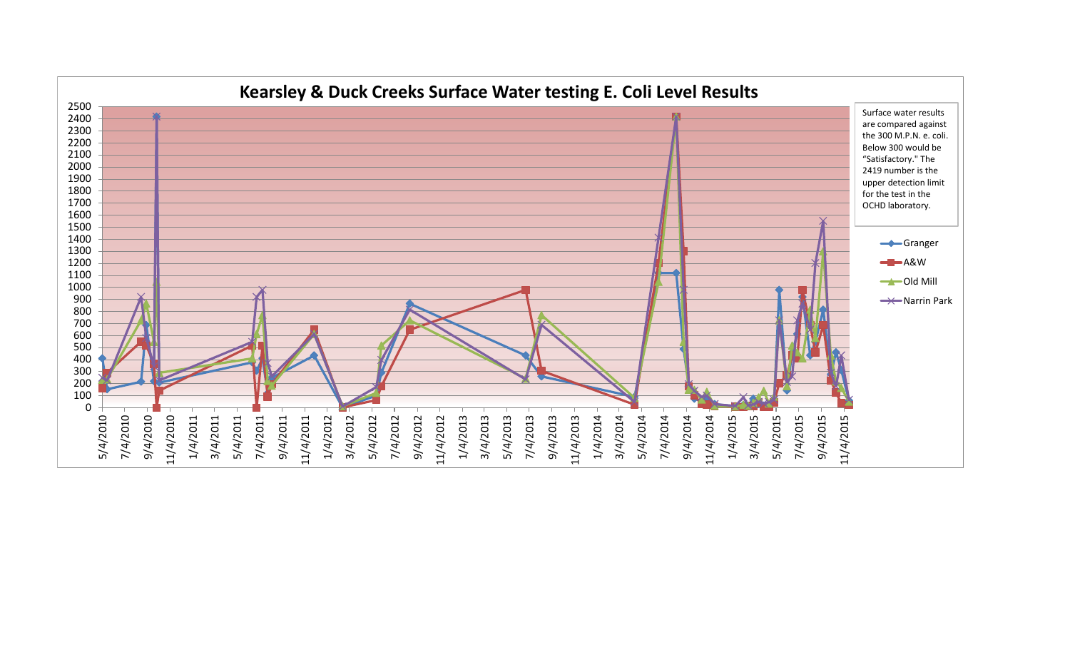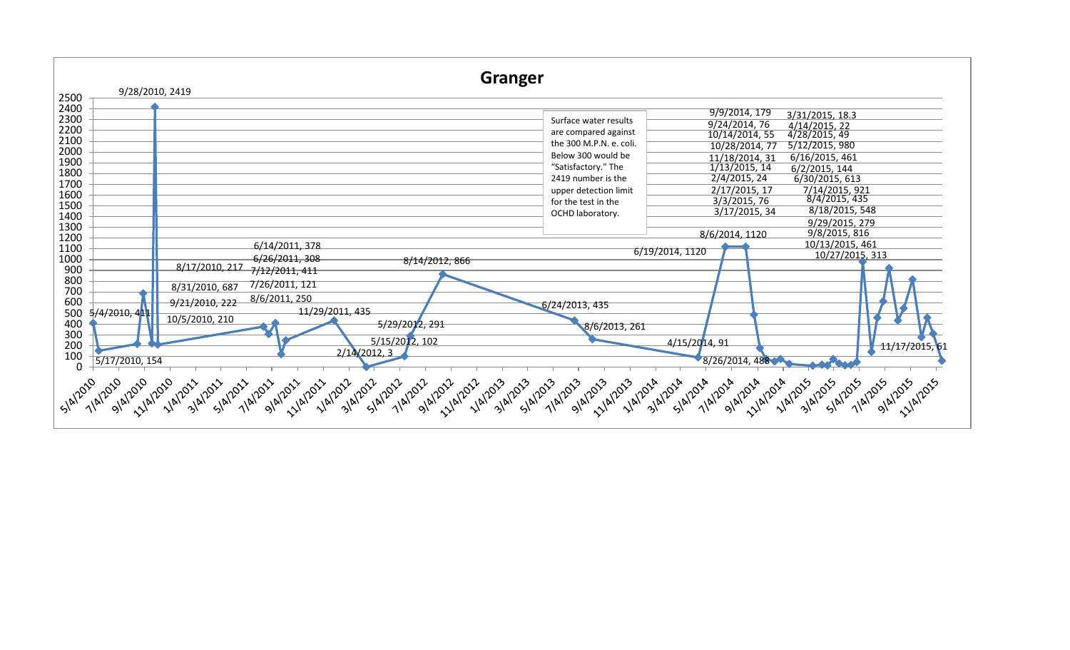| 9/9/2014, 179<br>3/31/2015, 18.3<br>2300<br>Surface water results<br>9/24/2014, 76<br>4/14/2015, 22<br>4/28/2015, 49<br>2200<br>are compared against<br>10/14/2014, 55<br>2100<br>the 300 M.P.N. e. coli.<br>5/12/2015, 980<br>10/28/2014, 77<br>2000<br>Below 300 would be<br>6/16/2015, 461<br>11/18/2014, 31<br>1900<br>"Satisfactory." The<br>1/13/2015, 14<br>6/2/2015, 144<br>1800<br>2/4/2015, 24<br>6/30/2015, 613<br>2419 number is the<br>1700<br>7/14/2015, 921<br>2/17/2015, 17<br>upper detection limit<br>1600<br>8/4/2015, 435<br>3/3/2015, 76<br>for the test in the<br>1500<br>8/18/2015, 548<br>3/17/2015, 34<br>OCHD laboratory.<br>1400<br>9/29/2015, 279<br>1300<br>9/8/2015, 816<br>8/6/2014, 1120<br>1200<br>10/13/2015, 461<br>6/14/2011, 378<br>1100<br>6/19/2014, 1120<br>10/27/2015, 313<br>1000<br>6/26/2011, 308<br>8/14/2012, 866<br>8/17/2010, 217<br>900<br>7/12/2011, 411<br>800<br>7/26/2011, 121<br>8/31/2010, 687<br>700<br>8/6/2011, 250<br>600<br>9/21/2010, 222<br>$-6/24/2013, 435$<br>11/29/2011, 435<br>500<br>5/4/2010, 4 <mark>1</mark> 1<br>10/5/2010, 210<br>400<br>5/29/2012, 291<br>8/6/2013, 261<br>300<br>5/15/2012, 102<br>4/15/2014, 91<br>200<br>2/14/2012, 3<br>100<br>8/26/2014, 488<br>5/17/2010, 154 | Granger<br>9/28/2010, 2419<br>2500 |                                   |
|---------------------------------------------------------------------------------------------------------------------------------------------------------------------------------------------------------------------------------------------------------------------------------------------------------------------------------------------------------------------------------------------------------------------------------------------------------------------------------------------------------------------------------------------------------------------------------------------------------------------------------------------------------------------------------------------------------------------------------------------------------------------------------------------------------------------------------------------------------------------------------------------------------------------------------------------------------------------------------------------------------------------------------------------------------------------------------------------------------------------------------------------------------------------------------------------------------------------------------------------------------------|------------------------------------|-----------------------------------|
|                                                                                                                                                                                                                                                                                                                                                                                                                                                                                                                                                                                                                                                                                                                                                                                                                                                                                                                                                                                                                                                                                                                                                                                                                                                               | 2400                               |                                   |
| 9/4/2015<br>5/4/2010<br>7/4/2010                                                                                                                                                                                                                                                                                                                                                                                                                                                                                                                                                                                                                                                                                                                                                                                                                                                                                                                                                                                                                                                                                                                                                                                                                              | $\Omega$                           | 11/17/2015,61<br><b>11/4/2015</b> |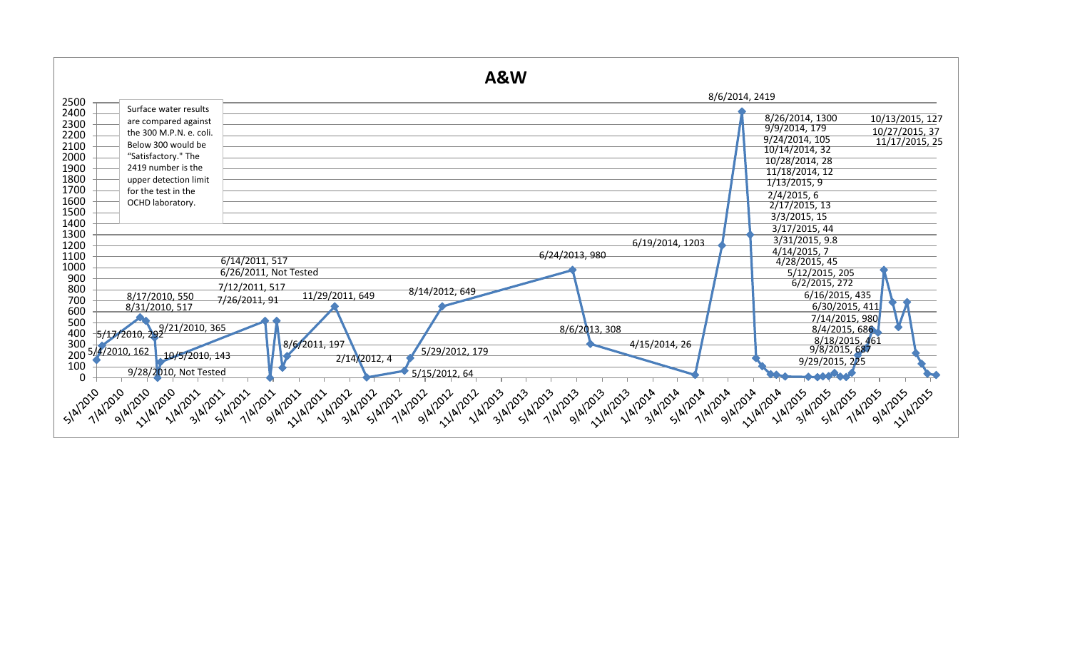|              |                                         | A&W                              |                                                     |
|--------------|-----------------------------------------|----------------------------------|-----------------------------------------------------|
| 2500         |                                         |                                  | 8/6/2014, 2419                                      |
| 2400         | Surface water results                   |                                  |                                                     |
| 2300         | are compared against                    |                                  | 8/26/2014, 1300<br>10/13/2015, 127<br>9/9/2014, 179 |
| 2200         | the 300 M.P.N. e. coli.                 |                                  | 10/27/2015, 37<br>9/24/2014, 105                    |
| 2100         | Below 300 would be                      |                                  | 11/17/2015, 25<br>10/14/2014, 32                    |
| 2000         | "Satisfactory." The                     |                                  | 10/28/2014, 28                                      |
| 1900         | 2419 number is the                      |                                  | 11/18/2014, 12                                      |
| 1800         | upper detection limit                   |                                  | 1/13/2015, 9                                        |
| 1700         | for the test in the                     |                                  | 2/4/2015, 6                                         |
| 1600         | OCHD laboratory.                        |                                  | 2/17/2015, 13                                       |
| 1500         |                                         |                                  | 3/3/2015, 15                                        |
| 1400<br>1300 |                                         |                                  | 3/17/2015, 44                                       |
| 1200         |                                         |                                  | 3/31/2015, 9.8<br>6/19/2014, 1203                   |
| 1100         |                                         | 6/24/2013, 980                   | 4/14/2015, 7                                        |
| 1000         |                                         | 6/14/2011, 517                   | 4/28/2015, 45                                       |
| 900          |                                         | 6/26/2011, Not Tested            | 5/12/2015, 205                                      |
| 800          |                                         | 7/12/2011, 517<br>8/14/2012, 649 | 6/2/2015, 272                                       |
| 700          | 8/17/2010, 550                          | 11/29/2011, 649<br>7/26/2011, 91 | 6/16/2015, 435                                      |
| 600          | 8/31/2010, 517                          |                                  | 6/30/2015, 411                                      |
| 500          |                                         | 8/6/2013, 308                    | 7/14/2015, 980<br>8/4/2015, 686                     |
| 400          | 5/17/2010, 29 <sup>9/21/2010, 365</sup> |                                  |                                                     |
| 300          | 200 5/4/2010, 162                       | 8/6/2011, 197<br>5/29/2012, 179  | 8/18/2015, 461<br>9/8/2015, 687<br>4/15/2014, 26    |
|              | 10/5/2010, 143                          | 2/14/2012, 4                     | 9/29/2015, 225                                      |
| 100          | 9/28/2010, Not Tested                   | 5/15/2012, 64                    |                                                     |
| 0            |                                         |                                  |                                                     |
| Slan020      | SIAI2010<br>11/4/2010<br>7/4/2010       |                                  | Slaposs<br>11/4/2015<br>7/4/2015<br>9/4/2015        |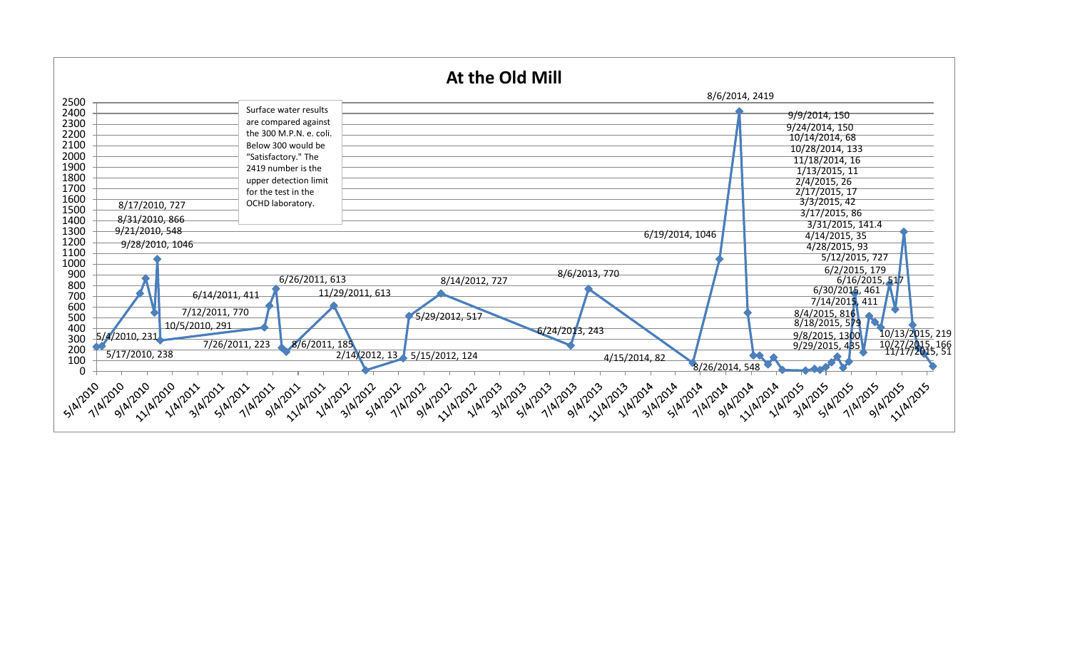